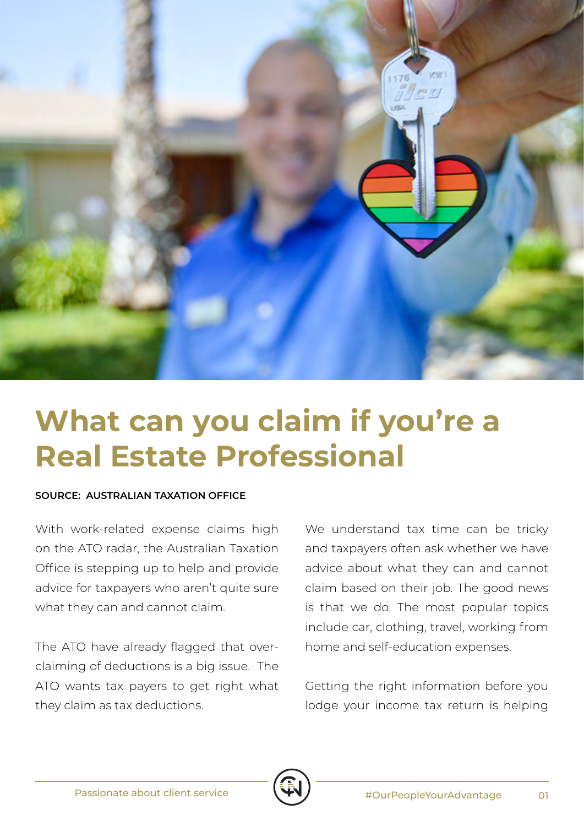

## **What can you claim if you're a Real Estate Professional**

## **SOURCE: AUSTRALIAN TAXATION OFFICE**

With work-related expense claims high on the ATO radar, the Australian Taxation Office is stepping up to help and provide advice for taxpayers who aren't quite sure what they can and cannot claim.

The ATO have already flagged that overclaiming of deductions is a big issue. The ATO wants tax payers to get right what they claim as tax deductions.

We understand tax time can be tricky and taxpayers often ask whether we have advice about what they can and cannot claim based on their job. The good news is that we do. The most popular topics include car, clothing, travel, working from home and self-education expenses.

Getting the right information before you lodge your income tax return is helping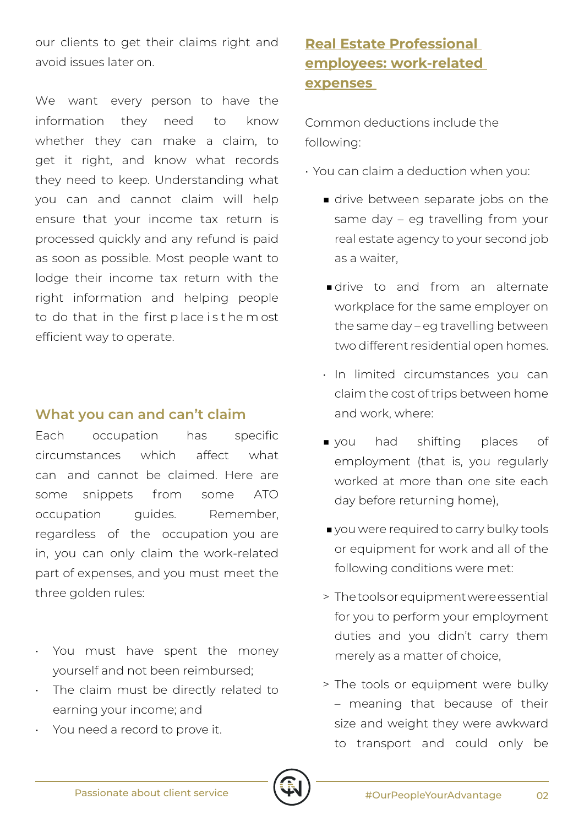our clients to get their claims right and avoid issues later on.

We want every person to have the information they need to know whether they can make a claim, to get it right, and know what records they need to keep. Understanding what you can and cannot claim will help ensure that your income tax return is processed quickly and any refund is paid as soon as possible. Most people want to lodge their income tax return with the right information and helping people to do that in the first p lace i s t he m ost efficient way to operate.

## **What you can and can't claim**

Each occupation has specific circumstances which affect what can and cannot be claimed. Here are some snippets from some ATO occupation quides. Remember, regardless of the occupation you are in, you can only claim the work-related part of expenses, and you must meet the three golden rules:

- You must have spent the money yourself and not been reimbursed;
- The claim must be directly related to earning your income; and
- You need a record to prove it.

## **Real Estate Professional employees: work-related expenses**

Common deductions include the following:

- You can claim a deduction when you:
	- drive between separate jobs on the same day – eg travelling from your real estate agency to your second job as a waiter,
	- ■drive to and from an alternate workplace for the same employer on the same day – eg travelling between two different residential open homes.
	- In limited circumstances you can claim the cost of trips between home and work, where:
	- you had shifting places of employment (that is, you regularly worked at more than one site each day before returning home),
	- you were required to carry bulky tools or equipment for work and all of the following conditions were met:
	- > The tools or equipment were essential for you to perform your employment duties and you didn't carry them merely as a matter of choice,
	- > The tools or equipment were bulky – meaning that because of their size and weight they were awkward to transport and could only be